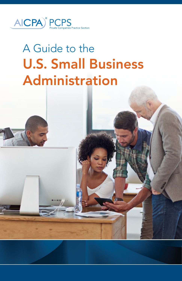

# A Guide to the U.S. Small Business Administration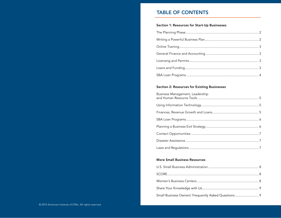# TABLE OF CONTENTS

#### Section 1: Resources for Start-Up Businesses

#### Section 2: Resources for Existing Businesses

#### More Small Business Resources

| Small Business Owners' Frequently Asked Questions 9 |  |
|-----------------------------------------------------|--|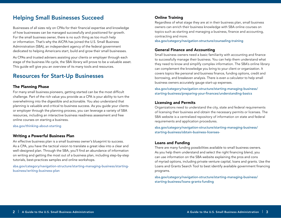# <span id="page-2-0"></span>Helping Small Businesses Succeed

Businesses of all sizes rely on CPAs for their financial expertise and knowledge of how businesses can be managed successfully and positioned for growth. For the small business owner, there is no such thing as too much help or information. That's why the AICPA has joined the U.S. Small Business Administration (SBA), an independent agency of the federal government dedicated to helping Americans start, build and grow their small businesses.

As CPAs and trusted advisers assisting your clients or employer through each stage of the business life cycle, the SBA library will prove to be a valuable asset. This guide will give you an overview of its many tools and resources.

# Resources for Start-Up Businesses

#### The Planning Phase

overwhelming into the digestible and actionable. You also understand that planning is valuable and critical to business success. As you guide your clients For many small business pioneers, getting started can be the most difficult challenge. Part of the rich value you provide as a CPA is your ability to turn the or employer through the planning process, you can leverage a variety of SBA resources, including an interactive business readiness assessment and free online courses on starting a business.

[sba.gov/thinking-about-starting](https://www.sba.gov/thinking-about-starting)

#### Writing a Powerful Business Plan

An effective business plan is a small business owner's blueprint to success. As a CPA, you have the tactical vision to translate a great idea into a clear and well-designed plan. Through the SBA, you'll find an abundance of information on writing and getting the most out of a business plan, including step-by-step tutorials, best-practices samples and online workshops.

s[ba.gov/category/navigation-structure/starting-managing-business/starting](http://www.sba.gov/category/navigation-structure/starting-managing-business/starting-business/writing-business-plan)[business/writing-business-plan](http://www.sba.gov/category/navigation-structure/starting-managing-business/starting-business/writing-business-plan)

#### Online Training

Regardless of what stage they are at in their business plan, small business owners can enrich their business knowledge with SBA online courses on topics such as starting and managing a business, finance and accounting, contracting and more.

[sba.gov/category/navigation-structure/counseling-training](http://www.sba.gov/category/navigation-structure/counseling-training) 

#### General Finance and Accounting

Small business owners need a basic familiarity with accounting and finance to successfully manage their business. You can help them understand what they need to know and simplify complex information. The SBA's online library can complement the knowledge you bring to your client or organization. It covers topics like personal and business finance, funding options, credit and borrowing, and breakeven analysis. There is even a calculator to help small business owners accurately gauge start-up expenses.

[sba.gov/category/navigation-structure/starting-managing-business/](https://www.sba.gov/category/navigation-structure/starting-managing-business/starting-business/preparing-your-finances/understanding-basics) [starting-business/preparing-your-finances/understanding-basics](https://www.sba.gov/category/navigation-structure/starting-managing-business/starting-business/preparing-your-finances/understanding-basics)

#### Licensing and Permits

Organizations need to understand the city, state and federal requirements of licensing their business and obtain the necessary permits or licenses. The SBA website is a centralized repository of information on state and federal requirements and application procedures.

[sba.gov/category/navigation-structure/starting-managing-business/](https://www.sba.gov/category/navigation-structure/starting-managing-business/starting-business/obtain-business-licenses-) [starting-business/obtain-business-licenses-](https://www.sba.gov/category/navigation-structure/starting-managing-business/starting-business/obtain-business-licenses-)

#### Loans and Funding

There are many funding possibilities available to small business owners. As you help them understand and select the right financing blend, you can use information on the SBA website explaining the pros and cons of myriad options, including private venture capital, loans and grants. Use the Loans and Grants Search Tool to best identify available government financing programs.

[sba.gov/category/navigation-structure/starting-managing-business/](http://www.sba.gov/category/navigation-structure/starting-managing-business/starting-business/loans-grants-funding) [starting-business/loans-grants-funding](http://www.sba.gov/category/navigation-structure/starting-managing-business/starting-business/loans-grants-funding)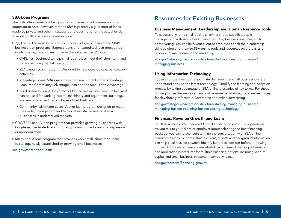#### <span id="page-3-0"></span>SBA Loan Programs

The SBA offers numerous loan programs to assist small businesses. It is important to note, however, that the SBA is primarily a guarantor of loans made by private and other institutions and does not offer the actual funds to assist small businesses. Loans include:

- ▶ 7(a) Loans: The most basic and most popular type of loan among SBA's business loan programs. Express loans offer expedited loan procedures in which an application response will be given within 36 hours.
	- CAPLines: Designed to help small businesses meet their short-term and cyclical working capital needs
	- SBA Export Loan Programs: Designed to help develop or expand export activities
	- Advantage Loans: SBA guarantees the Small/Rural Lender Advantage Loan, the Community Advantage Loan and the Small Loan Advantage
	- Rural Business Loans: Designed for businesses in rural communities, and can be used for working capital, machinery and equipment, buildings and real estate, and certain types of debt refinancing
	- Community Advantage Loans: A pilot loan program designed to meet the credit, management and technical assistance needs of small businesses in underserved markets
- ▶ CDC/504 Loan: A loan program that provides growing businesses with long-term, fixed-rate financing to acquire major fixed assets for expansion or modernization.
- Microloan: A loan program that provides very small, short-term loans to startup, newly established or growing small businesses.

[sba.gov/content/sba-loans](http://www.sba.gov/content/sba-loans)

# Resources for Existing Businesses

#### Business Management, Leadership and Human Resource Tools

To successfully run a small business, owners need specific peoplemanagement skills as well as knowledge of key business practices, such as marketing. You can help your client or employer enrich their leadership skills by directing them to SBA online tools and resources on the basics of leadership, management and marketing.

sb[a.gov/category/navigation-structure/starting-managing-business/](http://www.sba.gov/category/navigation-structure/starting-managing-business/managing-business) [managing-business](http://www.sba.gov/category/navigation-structure/starting-managing-business/managing-business)

#### Using Information Technology

Today's competitive business climate demands that small business owners understand and use the latest technology. Simplify the learning and adoption process by taking advantage of SBA online glossaries of key terms. For those looking to use the web as a means of revenue generation, there are resources for developing effective e-Commerce and online advertising.

[sba.gov/category/navigation-structure/starting-managing-business/](http://www.sba.gov/category/navigation-structure/starting-managing-business/managing-business/running-business/using-technology) [managing-business/running-business/using-technology](http://www.sba.gov/category/navigation-structure/starting-managing-business/managing-business/running-business/using-technology)

#### Finances, Revenue Growth and Loans

Small businesses often need additional financing to grow their operations. As you talk to your client or employer about selecting the best financing package, you can further substantiate the conversation with SBA online resources. Sample budgets, strategic plans, reports and background information can help small business owners identify factors to consider before borrowing money. Additionally, there are easy-to-follow outlines of the unique benefits and application procedures for multiple financing options, including venture capital and small business investment company loans.

[sba.gov/content/financing-growth](http://www.sba.gov/content/financing-growth)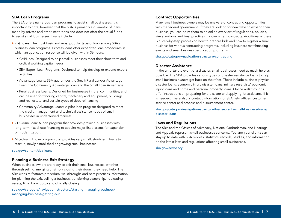#### <span id="page-4-0"></span>SBA Loan Programs

The SBA offers numerous loan programs to assist small businesses. It is important to note, however, that the SBA is primarily a guarantor of loans made by private and other institutions and does not offer the actual funds to assist small businesses. Loans include:

- ▶ 7(a) Loans: The most basic and most popular type of loan among SBA's business loan programs. Express loans offer expedited loan procedures in which an application response will be given within 36 hours.
	- CAPLines: Designed to help small businesses meet their short-term and cyclical working capital needs
	- SBA Export Loan Programs: Designed to help develop or expand export activities
	- Advantage Loans: SBA guarantees the Small/Rural Lender Advantage Loan, the Community Advantage Loan and the Small Loan Advantage
	- Rural Business Loans: Designed for businesses in rural communities, and can be used for working capital, machinery and equipment, buildings and real estate, and certain types of debt refinancing
	- Community Advantage Loans: A pilot loan program designed to meet the credit, management and technical assistance needs of small businesses in underserved markets
- CDC/504 Loan: A loan program that provides growing businesses with long-term, fixed-rate financing to acquire major fixed assets for expansion or modernization.
- Microloan: A loan program that provides very small, short-term loans to startup, newly established or growing small businesses.

sba.gov/content/sba-loans

#### Planning a Business Exit Strategy

When business owners are ready to exit their small businesses, whether through selling, merging or simply closing their doors, they need help. The SBA website features procedural walkthroughs and best practices information for planning the exit, selling a business, transferring ownership, liquidating assets, filing bankruptcy and officially closing.

[sba.gov/category/navigation-structure/starting-managing-business/](http://www.sba.gov/category/navigation-structure/starting-managing-business/managing-business/getting-out) [managing-business/getting-out](http://www.sba.gov/category/navigation-structure/starting-managing-business/managing-business/getting-out)

#### Contract Opportunities

Many small business owners may be unaware of contracting opportunities with the federal government. If they are looking for new ways to expand their business, you can point them to an online overview of regulations, policies, size standards and best practices in government contracts. Additionally, there is a step-by-step process on how to prepare bids and how to register a small business for various contracting programs, including business matchmaking events and small business certification programs.

[sba.gov/category/navigation-structure/contracting](http://www.sba.gov/category/navigation-structure/contracting)

#### Disaster Assistance

In the unfortunate event of a disaster, small businesses need as much help as possible. The SBA provides various types of disaster assistance loans to help small business owners get back on their feet. These include business physical disaster loans, economic injury disaster loans, military reservists' economic injury loans and home and personal property loans. Online walkthroughs offer instructions on preparing for a disaster and applying for assistance if it is needed. There also is contact information for SBA field offices, customer service center and process and disbursement center.

[sba.gov/category/navigation-structure/loans-grants/small-business-loans/](http://www.sba.gov/category/navigation-structure/loans-grants/small-business-loans/disaster-loans) [disaster-loans](http://www.sba.gov/category/navigation-structure/loans-grants/small-business-loans/disaster-loans)

#### Laws and Regulations

The SBA and the Offices of Advocacy, National Ombudsman, and Hearings and Appeals represent small businesses concerns. You and your clients can stay up to date with SBA reports, statistics, records, studies, and information on the latest laws and regulations affecting small businesses.

[sba.gov/advocacy](http://www.sba.gov/advocacy)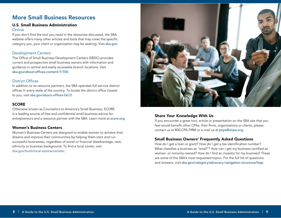# <span id="page-5-0"></span>More Small Business Resources

# U.S. Small Business Administration

#### **Online**

If you don't find the tool you need in the resources discussed, the SBA website offers many other articles and tools that may cover the specific category you, your client or organization may be seeking. Visit [sba.gov](http://www.sba.gov).

## Development Centers

The Office of Small Business Development Centers (SBDC) provides current and prospective small business owners with information and guidance in central and easily accessible branch locations. Visit [sba.gov/about-offices-content/1/700](http://www.sba.gov/about-offices-content/1/700).

# District Offices

In addition to its resource partners, the SBA operates full service district offices in every state of the country. To locate the district office closest to you, visit [sba.gov/about-offices-list/2](http://www.sba.gov/about-offices-list/2).

# **SCORE**

Otherwise known as Counselors to America's Small Business, SCORE is a leading source of free and confidential small business advice for entrepreneurs and a resource partner with the SBA. Learn more at [score.org](http://www.score.org).

### Women's Business Centers

Women's Business Centers are designed to enable women to achieve their dreams and improve their communities by helping them start and run successful businesses, regardless of social or financial disadvantage, race, ethnicity or business background. To find a local center, visit [sba.gov/tools/local-assistance/wbc.](https://www.sba.gov/tools/local-assistance/wbc)



# Share Your Knowledge With Us

If you encounter a great tool, article or presentation on the SBA site that you feel would benefit other CPAs, their firms, organizations or clients, please contact us at 800.CPA.FIRM or e-mail us at <pcps@aicpa.org>.

# Small Business Owners' Frequently Asked Questions

How do I get a loan or grant? How do I get a tax identification number? What classifies a business as "small"? How can I get my business certified as woman- or minority-owned? How do I find an investor for my business? These are some of the SBA's most requested topics. For the full list of questions and answers, visit [sba.gov/category/advocacy-navigation-structure/faqs.](https://www.sba.gov/category/advocacy-navigation-structure/faqs)